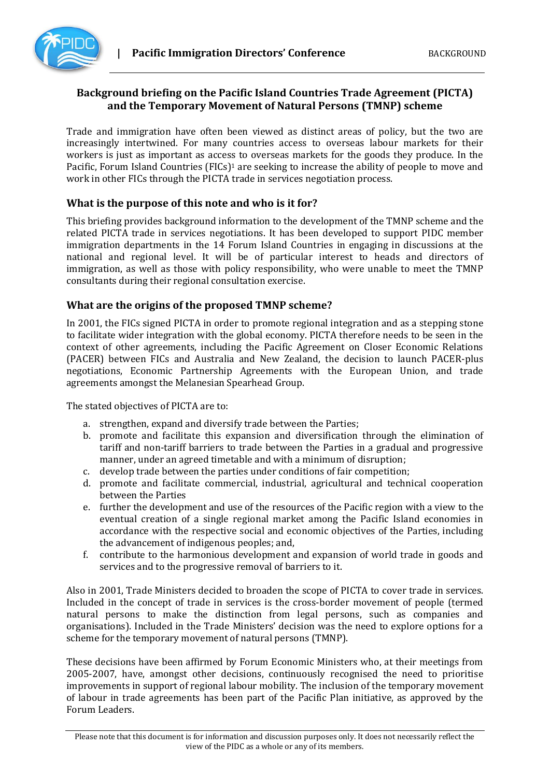

## **Background briefing on the Pacific Island Countries Trade Agreement (PICTA) and the Temporary Movement of Natural Persons (TMNP) scheme**

Trade and immigration have often been viewed as distinct areas of policy, but the two are increasingly intertwined. For many countries access to overseas labour markets for their workers is just as important as access to overseas markets for the goods they produce. In the Pacific, Forum Island Countries (FICs)<sup>1</sup> are seeking to increase the ability of people to move and work in other FICs through the PICTA trade in services negotiation process.

### **What is the purpose of this note and who is it for?**

This briefing provides background information to the development of the TMNP scheme and the related PICTA trade in services negotiations. It has been developed to support PIDC member immigration departments in the 14 Forum Island Countries in engaging in discussions at the national and regional level. It will be of particular interest to heads and directors of immigration, as well as those with policy responsibility, who were unable to meet the TMNP consultants during their regional consultation exercise.

#### **What are the origins of the proposed TMNP scheme?**

In 2001, the FICs signed PICTA in order to promote regional integration and as a stepping stone to facilitate wider integration with the global economy. PICTA therefore needs to be seen in the context of other agreements, including the Pacific Agreement on Closer Economic Relations (PACER) between FICs and Australia and New Zealand, the decision to launch PACER-plus negotiations, Economic Partnership Agreements with the European Union, and trade agreements amongst the Melanesian Spearhead Group.

The stated objectives of PICTA are to:

- a. strengthen, expand and diversify trade between the Parties;
- b. promote and facilitate this expansion and diversification through the elimination of tariff and non-tariff barriers to trade between the Parties in a gradual and progressive manner, under an agreed timetable and with a minimum of disruption;
- c. develop trade between the parties under conditions of fair competition;
- d. promote and facilitate commercial, industrial, agricultural and technical cooperation between the Parties
- e. further the development and use of the resources of the Pacific region with a view to the eventual creation of a single regional market among the Pacific Island economies in accordance with the respective social and economic objectives of the Parties, including the advancement of indigenous peoples; and,
- f. contribute to the harmonious development and expansion of world trade in goods and services and to the progressive removal of barriers to it.

Also in 2001, Trade Ministers decided to broaden the scope of PICTA to cover trade in services. Included in the concept of trade in services is the cross-border movement of people (termed natural persons to make the distinction from legal persons, such as companies and organisations). Included in the Trade Ministers' decision was the need to explore options for a scheme for the temporary movement of natural persons (TMNP).

These decisions have been affirmed by Forum Economic Ministers who, at their meetings from 2005-2007, have, amongst other decisions, continuously recognised the need to prioritise improvements in support of regional labour mobility. The inclusion of the temporary movement of labour in trade agreements has been part of the Pacific Plan initiative, as approved by the Forum Leaders.

Please note that this document is for information and discussion purposes only. It does not necessarily reflect the view of the PIDC as a whole or any of its members.